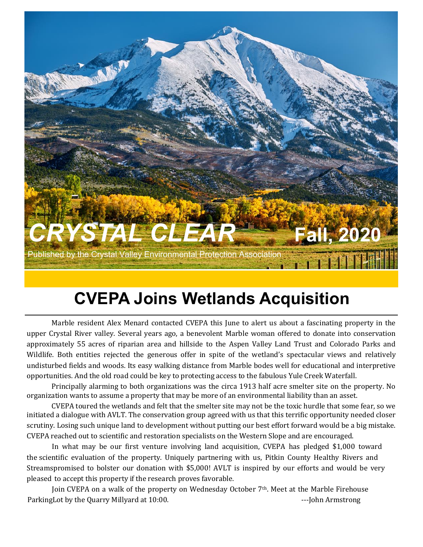

# **CVEPA Joins Wetlands Acquisition**

Marble resident Alex Menard contacted CVEPA this June to alert us about a fascinating property in the upper Crystal River valley. Several years ago, a benevolent Marble woman offered to donate into conservation approximately 55 acres of riparian area and hillside to the Aspen Valley Land Trust and Colorado Parks and Wildlife. Both entities rejected the generous offer in spite of the wetland's spectacular views and relatively undisturbed fields and woods. Its easy walking distance from Marble bodes well for educational and interpretive opportunities. And the old road could be key to protecting access to the fabulous Yule Creek Waterfall.

Principally alarming to both organizations was the circa 1913 half acre smelter site on the property. No organization wants to assume a property that may be more of an environmental liability than an asset.

CVEPA toured the wetlands and felt that the smelter site may not be the toxic hurdle that some fear, so we initiated a dialogue with AVLT. The conservation group agreed with us that this terrific opportunity needed closer scrutiny. Losing such unique land to development without putting our best effort forward would be a big mistake. CVEPA reached out to scientific and restoration specialists on the Western Slope and are encouraged.

 In what may be our first venture involving land acquisition, CVEPA has pledged \$1,000 toward the scientific evaluation of the property. Uniquely partnering with us, Pitkin County Healthy Rivers and Streamspromised to bolster our donation with \$5,000! AVLT is inspired by our efforts and would be very pleased to accept this property if the research proves favorable.

 Join CVEPA on a walk of the property on Wednesday October 7th. Meet at the Marble Firehouse ParkingLot by the Quarry Millyard at 10:00. The same state of the setting of the Armstrong state of the Second L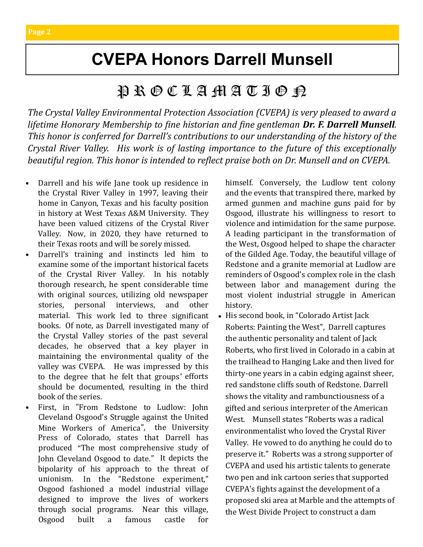# **CVEPA Honors Darrell Munsell**

### $\mathfrak{P} \mathbin{\mathbb{R}} \mathbin{\mathbb{C}} \mathbin{\mathbb{C}} \mathbin{\mathbb{Z}} \mathbin{\mathbb{C}} \mathbin{\mathbb{C}} \mathbin{\mathbb{C}} \mathbin{\mathbb{C}} \mathbin{\mathbb{C}} \mathbin{\mathbb{C}}$

*The Crystal Valley Environmental Protection Association (CVEPA) is very pleased to award a lifetime Honorary Membership to fine historian and fine gentleman Dr. F. Darrell Munsell. This honor is conferred for Darrell's contributions to our understanding of the history of the Crystal River Valley. His work is of lasting importance to the future of this exceptionally beautiful region. This honor is intended to reflect praise both on Dr. Munsell and on CVEPA.*

- Darrell and his wife Jane took up residence in the Crystal River Valley in 1997, leaving their home in Canyon, Texas and his faculty position in history at West Texas A&M University. They have been valued citizens of the Crystal River Valley. Now, in 2020, they have returned to their Texas roots and will be sorely missed.
- Darrell's training and instincts led him to examine some of the important historical facets of the Crystal River Valley. In his notably thorough research, he spent considerable time with original sources, utilizing old newspaper stories, personal interviews, and other material. This work led to three significant books. Of note, as Darrell investigated many of the Crystal Valley stories of the past several decades, he observed that a key player in maintaining the environmental quality of the valley was CVEPA. He was impressed by this to the degree that he felt that groups' efforts should be documented, resulting in the third book of the series.
	- First, in "[From Redstone to Ludlow: John](https://eur01.safelinks.protection.outlook.com/?url=https%3A%2F%2Fwww.thriftbooks.com%2Fw%2Ffrom-redstone-to-ludlow-john-cleveland-osgoods-struggle-against-the-united-mine-workers-of-america_f-darrell-munsell%2F8859548%2F%23isbn%3D0870819348&data=02%7C01%7C%7) [Cleveland Osgood's Struggle against the United](https://eur01.safelinks.protection.outlook.com/?url=https%3A%2F%2Fwww.thriftbooks.com%2Fw%2Ffrom-redstone-to-ludlow-john-cleveland-osgoods-struggle-against-the-united-mine-workers-of-america_f-darrell-munsell%2F8859548%2F%23isbn%3D0870819348&data=02%7C01%7C%7) [Mine Workers of America](https://eur01.safelinks.protection.outlook.com/?url=https%3A%2F%2Fwww.thriftbooks.com%2Fw%2Ffrom-redstone-to-ludlow-john-cleveland-osgoods-struggle-against-the-united-mine-workers-of-america_f-darrell-munsell%2F8859548%2F%23isbn%3D0870819348&data=02%7C01%7C%7)", the University Press of Colorado, states that Darrell has produced "The most comprehensive study of John Cleveland Osgood to date." It depicts the bipolarity of his approach to the threat of unionism. In the "Redstone experiment," Osgood fashioned a model industrial village designed to improve the lives of workers through social programs. Near this village, Osgood built a famous castle for

himself. Conversely, the Ludlow tent colony and the events that transpired there, marked by armed gunmen and machine guns paid for by Osgood, illustrate his willingness to resort to violence and intimidation for the same purpose. A leading participant in the transformation of the West, Osgood helped to shape the character of the Gilded Age. Today, the beautiful village of Redstone and a granite memorial at Ludlow are reminders of Osgood's complex role in the clash between labor and management during the most violent industrial struggle in American history.

• His second book, in "[Colorado Artist Jack](https://eur01.safelinks.protection.outlook.com/?url=https%3A%2F%2Fwww.thriftbooks.com%2Fw%2Fcolorado-artist-jack-roberts-painting-the-west_f-darrell-munsell%2F10770319%2F%23isbn%3D1467118451&data=02%7C01%7C%7C295b85c4b5484ff764b308d8568db742%7C84df9e7fe9f640a)  [Roberts: Painting the West](https://eur01.safelinks.protection.outlook.com/?url=https%3A%2F%2Fwww.thriftbooks.com%2Fw%2Fcolorado-artist-jack-roberts-painting-the-west_f-darrell-munsell%2F10770319%2F%23isbn%3D1467118451&data=02%7C01%7C%7C295b85c4b5484ff764b308d8568db742%7C84df9e7fe9f640a)", Darrell captures the authentic personality and talent of Jack Roberts, who first lived in Colorado in a cabin at the trailhead to Hanging Lake and then lived for thirty-one years in a cabin edging against sheer, red sandstone cliffs south of Redstone. Darrell shows the vitality and rambunctiousness of a gifted and serious interpreter of the American West. Munsell states "Roberts was a radical environmentalist who loved the Crystal River Valley. He vowed to do anything he could do to preserve it." Roberts was a strong supporter of CVEPA and used his artistic talents to generate two pen and ink cartoon series that supported CVEPA's fights against the development of a proposed ski area at Marble and the attempts of the West Divide Project to construct a dam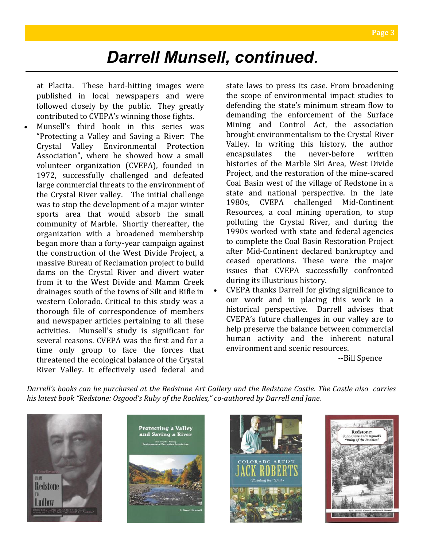at Placita. These hard-hitting images were published in local newspapers and were followed closely by the public. They greatly contributed to CVEPA's winning those fights.

• Munsell's third book in this series was "Protecting a Valley and Saving a River: The Crystal Valley Environmental Protection Association", where he showed how a small volunteer organization (CVEPA), founded in 1972, successfully challenged and defeated large commercial threats to the environment of the Crystal River valley. The initial challenge was to stop the development of a major winter sports area that would absorb the small community of Marble. Shortly thereafter, the organization with a broadened membership began more than a forty-year campaign against the construction of the West Divide Project, a massive Bureau of Reclamation project to build dams on the Crystal River and divert water from it to the West Divide and Mamm Creek drainages south of the towns of Silt and Rifle in western Colorado. Critical to this study was a thorough file of correspondence of members and newspaper articles pertaining to all these activities. Munsell's study is significant for several reasons. CVEPA was the first and for a time only group to face the forces that threatened the ecological balance of the Crystal River Valley. It effectively used federal and

state laws to press its case. From broadening the scope of environmental impact studies to defending the state's minimum stream flow to demanding the enforcement of the Surface Mining and Control Act, the association brought environmentalism to the Crystal River Valley. In writing this history, the author encapsulates the never-before written histories of the Marble Ski Area, West Divide Project, and the restoration of the mine-scared Coal Basin west of the village of Redstone in a state and national perspective. In the late 1980s, CVEPA challenged Mid-Continent Resources, a coal mining operation, to stop polluting the Crystal River, and during the 1990s worked with state and federal agencies to complete the Coal Basin Restoration Project after Mid-Continent declared bankruptcy and ceased operations. These were the major issues that CVEPA successfully confronted during its illustrious history.

• CVEPA thanks Darrell for giving significance to our work and in placing this work in a historical perspective. Darrell advises that CVEPA's future challenges in our valley are to help preserve the balance between commercial human activity and the inherent natural environment and scenic resources.

--Bill Spence

*Darrell's books can be purchased at the Redstone Art Gallery and the Redstone Castle. The Castle also carries his latest book "Redstone: Osgood's Ruby of the Rockies," co-authored by Darrell and Jane.* 







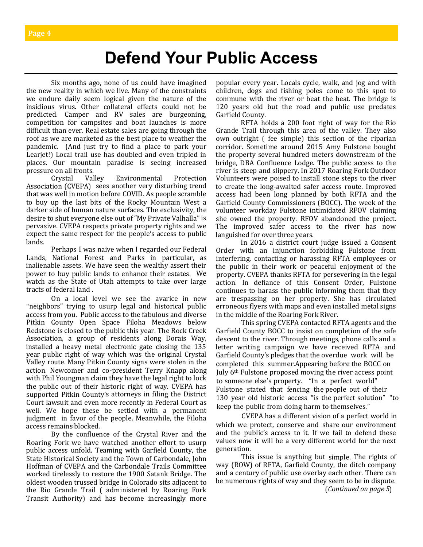## **Defend Your Public Access**

Six months ago, none of us could have imagined the new reality in which we live. Many of the constraints we endure daily seem logical given the nature of the insidious virus. Other collateral effects could not be predicted. Camper and RV sales are burgeoning, competition for campsites and boat launches is more difficult than ever. Real estate sales are going through the roof as we are marketed as the best place to weather the pandemic. (And just try to find a place to park your Learjet!) Local trail use has doubled and even tripled in places. Our mountain paradise is seeing increased pressure on all fronts.

Crystal Valley Environmental Protection Association (CVEPA) sees another very disturbing trend that was well in motion before COVID. As people scramble to buy up the last bits of the Rocky Mountain West a darker side of human nature surfaces. The exclusivity, the desire to shut everyone else out of "My Private Valhalla" is pervasive. CVEPA respects private property rights and we expect the same respect for the people's access to public lands.

Perhaps I was naive when I regarded our Federal Lands, National Forest and Parks in particular, as inalienable assets. We have seen the wealthy assert their power to buy public lands to enhance their estates. We watch as the State of Utah attempts to take over large tracts of federal land .

On a local level we see the avarice in new "neighbors" trying to usurp legal and historical public access from you. Public access to the fabulous and diverse Pitkin County Open Space Filoha Meadows below Redstone is closed to the public this year. The Rock Creek Association, a group of residents along Dorais Way, installed a heavy metal electronic gate closing the 135 year public right of way which was the original Crystal Valley route. Many Pitkin County signs were stolen in the action. Newcomer and co-president Terry Knapp along with Phil Youngman claim they have the legal right to lock the public out of their historic right of way. CVEPA has supported Pitkin County's attorneys in filing the District Court lawsuit and even more recently in Federal Court as well. We hope these be settled with a permanent judgment in favor of the people. Meanwhile, the Filoha access remains blocked.

By the confluence of the Crystal River and the Roaring Fork we have watched another effort to usurp public access unfold. Teaming with Garfield County, the State Historical Society and the Town of Carbondale, John Hoffman of CVEPA and the Carbondale Trails Committee worked tirelessly to restore the 1900 Satank Bridge. The oldest wooden trussed bridge in Colorado sits adjacent to the Rio Grande Trail ( administered by Roaring Fork Transit Authority) and has become increasingly more popular every year. Locals cycle, walk, and jog and with children, dogs and fishing poles come to this spot to commune with the river or beat the heat. The bridge is 120 years old but the road and public use predates Garfield County.

RFTA holds a 200 foot right of way for the Rio Grande Trail through this area of the valley. They also own outright ( fee simple) this section of the riparian corridor. Sometime around 2015 Amy Fulstone bought the property several hundred meters downstream of the bridge, DBA Confluence Lodge. The public access to the river is steep and slippery. In 2017 Roaring Fork Outdoor Volunteers were poised to install stone steps to the river to create the long-awaited safer access route. Improved access had been long planned by both RFTA and the Garfield County Commissioners (BOCC). The week of the volunteer workday Fulstone intimidated RFOV claiming she owned the property. RFOV abandoned the project. The improved safer access to the river has now languished for over three years.

In 2016 a district court judge issued a Consent Order with an injunction forbidding Fulstone from interfering, contacting or harassing RFTA employees or the public in their work or peaceful enjoyment of the property. CVEPA thanks RFTA for persevering in the legal action. In defiance of this Consent Order, Fulstone continues to harass the public informing them that they are trespassing on her property. She has circulated erroneous flyers with maps and even installed metal signs in the middle of the Roaring Fork River.

This spring CVEPA contacted RFTA agents and the Garfield County BOCC to insist on completion of the safe descent to the river. Through meetings, phone calls and a letter writing campaign we have received RFTA and Garfield County's pledges that the overdue work will be completed this summer.Appearing before the BOCC on July 6th Fulstone proposed moving the river access point to someone else's property. "In a perfect world" Fulstone stated that fencing the people out of their 130 year old historic access "is the perfect solution" "to keep the public from doing harm to themselves."

 CVEPA has a different vision of a perfect world in which we protect, conserve and share our environment and the public's access to it. If we fail to defend these values now it will be a very different world for the next generation.

This issue is anything but simple. The rights of way (ROW) of RFTA, Garfield County, the ditch company and a century of public use overlay each other. There can be numerous rights of way and they seem to be in dispute.

(*Continued on page 5*)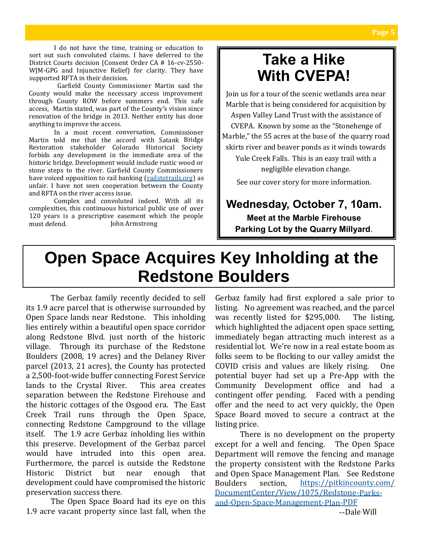I do not have the time, training or education to sort out such convoluted claims. I have deferred to the District Courts decision (Consent Order CA # 16-cv-2550- WJM-GPG and Injunctive Relief) for clarity. They have supported RFTA in their decision.

Garfield County Commissioner Martin said the County would make the necessary access improvement through County ROW before summers end. This safe access, Martin stated, was part of the County's vision since renovation of the bridge in 2013. Neither entity has done anything to improve the access.

In a most recent conversation, Commissioner Martin told me that the accord with Satank Bridge Restoration stakeholder Colorado Historical Society forbids any development in the immediate area of the historic bridge. Development would include rustic wood or stone steps to the river. Garfield County Commissioners have voiced opposition to rail banking (railstotrails.org) as unfair. I have not seen cooperation b[etween the Coun](https://eur03.safelinks.protection.outlook.com/?url=http%3A%2F%2Frailstotrails.org%2F&data=02%7C01%7C%7C6a0e7044e5ca4aa72ec908d85a6e1345%7C84df9e7fe9f640afb435aaaaaaaaaaaa%7C1%7C0%7C637358776094579673&sdata=dEkHADJnD237YxIIT6VYoFM8THn5Hcrwvdp2befxNqA%3D&reser)ty and RFTA on the river access issue.

Complex and convoluted indeed. With all its complexities, this continuous historical public use of over 120 years is a prescriptive easement which the people must defend. — John Armstrong

### **Take a Hike With CVEPA!**

Join us for a tour of the scenic wetlands area near Marble that is being considered for acquisition by Aspen Valley Land Trust with the assistance of CVEPA. Known by some as the "Stonehenge of Marble," the 55 acres at the base of the quarry road

skirts river and beaver ponds as it winds towards

Yule Creek Falls. This is an easy trail with a negligible elevation change.

See our cover story for more information.

#### **Wednesday, October 7, 10am.**

**Meet at the Marble Firehouse Parking Lot by the Quarry Millyard**.

# **Open Space Acquires Key Inholding at the Redstone Boulders**

The Gerbaz family recently decided to sell its 1.9 acre parcel that is otherwise surrounded by Open Space lands near Redstone. This inholding lies entirely within a beautiful open space corridor along Redstone Blvd. just north of the historic village. Through its purchase of the Redstone Boulders (2008, 19 acres) and the Delaney River parcel (2013, 21 acres), the County has protected a 2,500-foot-wide buffer connecting Forest Service lands to the Crystal River. This area creates separation between the Redstone Firehouse and the historic cottages of the Osgood era. The East Creek Trail runs through the Open Space, connecting Redstone Campground to the village itself. The 1.9 acre Gerbaz inholding lies within this preserve. Development of the Gerbaz parcel would have intruded into this open area. Furthermore, the parcel is outside the Redstone Historic District but near enough that development could have compromised the historic preservation success there.

The Open Space Board had its eye on this 1.9 acre vacant property since last fall, when the Gerbaz family had first explored a sale prior to listing. No agreement was reached, and the parcel was recently listed for \$295,000. The listing, which highlighted the adjacent open space setting, immediately began attracting much interest as a residential lot. We're now in a real estate boom as folks seem to be flocking to our valley amidst the COVID crisis and values are likely rising. One potential buyer had set up a Pre-App with the Community Development office and had a contingent offer pending. Faced with a pending offer and the need to act very quickly, the Open Space Board moved to secure a contract at the listing price.

There is no development on the property except for a well and fencing. The Open Space Department will remove the fencing and manage the property consistent with the Redstone Parks and Open Space Management Plan. See Redstone Boulders section, [https://pitkincounty.com/](https://pitkincounty.com/DocumentCenter/View/1075/Redstone-Parks-and-Open-Space-Management-Plan-PDF) [DocumentCenter/View/1075/Redstone](https://pitkincounty.com/DocumentCenter/View/1075/Redstone-Parks-and-Open-Space-Management-Plan-PDF)-Parksand-Open-Space-[Management](https://pitkincounty.com/DocumentCenter/View/1075/Redstone-Parks-and-Open-Space-Management-Plan-PDF)-Plan-PDF --Dale Will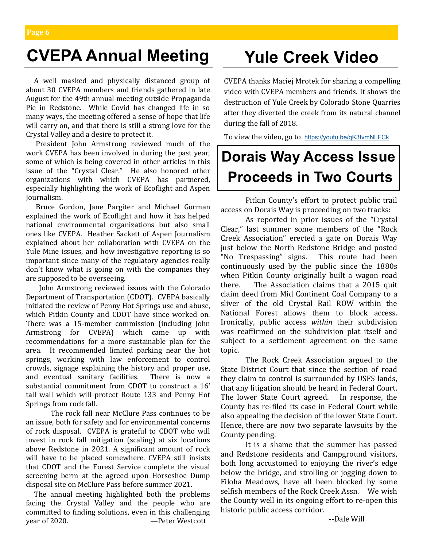# **CVEPA Annual Meeting Yule Creek Video**

 A well masked and physically distanced group of about 30 CVEPA members and friends gathered in late August for the 49th annual meeting outside Propaganda Pie in Redstone. While Covid has changed life in so many ways, the meeting offered a sense of hope that life will carry on, and that there is still a strong love for the Crystal Valley and a desire to protect it.

 President John Armstrong reviewed much of the work CVEPA has been involved in during the past year, some of which is being covered in other articles in this issue of the "Crystal Clear." He also honored other organizations with which CVEPA has partnered, especially highlighting the work of Ecoflight and Aspen Journalism.

 Bruce Gordon, Jane Pargiter and Michael Gorman explained the work of Ecoflight and how it has helped national environmental organizations but also small ones like CVEPA. Heather Sackett of Aspen Journalism explained about her collaboration with CVEPA on the Yule Mine issues, and how investigative reporting is so important since many of the regulatory agencies really don't know what is going on with the companies they are supposed to be overseeing.

 John Armstrong reviewed issues with the Colorado Department of Transportation (CDOT). CVEPA basically initiated the review of Penny Hot Springs use and abuse, which Pitkin County and CDOT have since worked on. There was a 15-member commission (including John Armstrong for CVEPA) which came up with recommendations for a more sustainable plan for the area. It recommended limited parking near the hot springs, working with law enforcement to control crowds, signage explaining the history and proper use, and eventual sanitary facilities. There is now a substantial commitment from CDOT to construct a 16' tall wall which will protect Route 133 and Penny Hot Springs from rock fall.

The rock fall near McClure Pass continues to be an issue, both for safety and for environmental concerns of rock disposal. CVEPA is grateful to CDOT who will invest in rock fall mitigation (scaling) at six locations above Redstone in 2021. A significant amount of rock will have to be placed somewhere. CVEPA still insists that CDOT and the Forest Service complete the visual screening berm at the agreed upon Horseshoe Dump disposal site on McClure Pass before summer 2021.

 The annual meeting highlighted both the problems facing the Crystal Valley and the people who are committed to finding solutions, even in this challenging year of 2020. — Peter Westcott

CVEPA thanks Maciej Mrotek for sharing a compelling video with CVEPA members and friends. It shows the destruction of Yule Creek by Colorado Stone Quarries after they diverted the creek from its natural channel during the fall of 2018.

To view the video, go to [https://youtu.be/qK3fvmNLFCk](https://nam11.safelinks.protection.outlook.com/?url=https%3A%2F%2Fyoutu.be%2FqK3fvmNLFCk&data=02%7C01%7C%7Cb6816b6389bc4125d9b808d8567aa78a%7C84df9e7fe9f640afb435aaaaaaaaaaaa%7C1%7C0%7C637354432072769707&sdata=iKbY8JilGQQxnbF4umPsQl40jURoNtW94dI5tP8fnHc%3D&re)

# **Dorais Way Access Issue Proceeds in Two Courts**

Pitkin County's effort to protect public trail access on Dorais Way is proceeding on two tracks:

As reported in prior issues of the "Crystal Clear," last summer some members of the "Rock Creek Association" erected a gate on Dorais Way just below the North Redstone Bridge and posted "No Trespassing" signs. This route had been continuously used by the public since the 1880s when Pitkin County originally built a wagon road there. The Association claims that a 2015 quit claim deed from Mid Continent Coal Company to a sliver of the old Crystal Rail ROW within the National Forest allows them to block access. Ironically, public access *within* their subdivision was reaffirmed on the subdivision plat itself and subject to a settlement agreement on the same topic.

The Rock Creek Association argued to the State District Court that since the section of road they claim to control is surrounded by USFS lands, that any litigation should be heard in Federal Court. The lower State Court agreed. In response, the County has re-filed its case in Federal Court while also appealing the decision of the lower State Court. Hence, there are now two separate lawsuits by the County pending.

It is a shame that the summer has passed and Redstone residents and Campground visitors, both long accustomed to enjoying the river's edge below the bridge, and strolling or jogging down to Filoha Meadows, have all been blocked by some selfish members of the Rock Creek Assn. We wish the County well in its ongoing effort to re-open this historic public access corridor.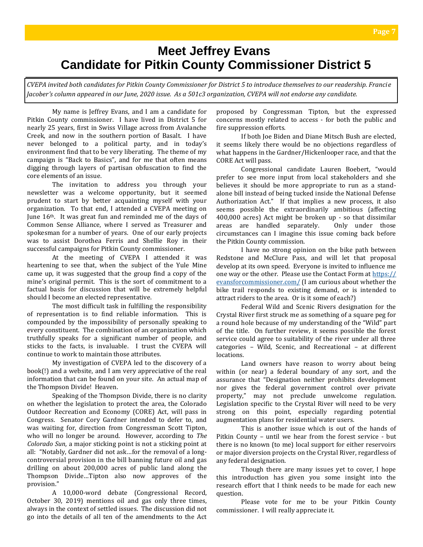#### **Meet Jeffrey Evans Candidate for Pitkin County Commissioner District 5**

*CVEPA invited both candidates for Pitkin County Commissioner for District 5 to introduce themselves to our readership. Francie Jacober's column appeared in our June, 2020 issue. As a 501c3 organization, CVEPA will not endorse any candidate.* 

My name is Jeffrey Evans, and I am a candidate for Pitkin County commissioner. I have lived in District 5 for nearly 25 years, first in Swiss Village across from Avalanche Creek, and now in the southern portion of Basalt. I have never belonged to a political party, and in today's environment find that to be very liberating. The theme of my campaign is "Back to Basics", and for me that often means digging through layers of partisan obfuscation to find the core elements of an issue.

The invitation to address you through your newsletter was a welcome opportunity, but it seemed prudent to start by better acquainting myself with your organization. To that end, I attended a CVEPA meeting on June 16th. It was great fun and reminded me of the days of Common Sense Alliance, where I served as Treasurer and spokesman for a number of years. One of our early projects was to assist Dorothea Ferris and Shellie Roy in their successful campaigns for Pitkin County commissioner.

At the meeting of CVEPA I attended it was heartening to see that, when the subject of the Yule Mine came up, it was suggested that the group find a copy of the mine's original permit. This is the sort of commitment to a factual basis for discussion that will be extremely helpful should I become an elected representative.

The most difficult task in fulfilling the responsibility of representation is to find reliable information. This is compounded by the impossibility of personally speaking to every constituent. The combination of an organization which truthfully speaks for a significant number of people, and sticks to the facts, is invaluable. I trust the CVEPA will continue to work to maintain those attributes.

My investigation of CVEPA led to the discovery of a book(!) and a website, and I am very appreciative of the real information that can be found on your site. An actual map of the Thompson Divide! Heaven.

Speaking of the Thompson Divide, there is no clarity on whether the legislation to protect the area, the Colorado Outdoor Recreation and Economy (CORE) Act, will pass in Congress. Senator Cory Gardner intended to defer to, and was waiting for, direction from Congressman Scott Tipton, who will no longer be around. However, according to *The Colorado Sun*, a major sticking point is not a sticking point at all: "Notably, Gardner did not ask…for the removal of a longcontroversial provision in the bill banning future oil and gas drilling on about 200,000 acres of public land along the Thompson Divide…Tipton also now approves of the provision."

A 10,000-word debate (Congressional Record, October 30, 2019) mentions oil and gas only three times, always in the context of settled issues. The discussion did not go into the details of all ten of the amendments to the Act

proposed by Congressman Tipton, but the expressed concerns mostly related to access - for both the public and fire suppression efforts.

If both Joe Biden and Diane Mitsch Bush are elected, it seems likely there would be no objections regardless of what happens in the Gardner/Hickenlooper race, and that the CORE Act will pass.

Congressional candidate Lauren Boebert, "would prefer to see more input from local stakeholders and she believes it should be more appropriate to run as a standalone bill instead of being tucked inside the National Defense Authorization Act." If that implies a new process, it also seems possible the extraordinarily ambitious (affecting 400,000 acres) Act might be broken up - so that dissimilar areas are handled separately. Only under those circumstances can I imagine this issue coming back before the Pitkin County commission.

I have no strong opinion on the bike path between Redstone and McClure Pass, and will let that proposal develop at its own speed. Everyone is invited to influence me one way or the other. Please use the Contact Form at [https://](https://evansforcommissioner.com/) [evansforcommissioner.com/](https://evansforcommissioner.com/) (I am curious about whether the bike trail responds to existing demand, or is intended to attract riders to the area. Or is it some of each?)

Federal Wild and Scenic Rivers designation for the Crystal River first struck me as something of a square peg for a round hole because of my understanding of the "Wild" part of the title. On further review, it seems possible the forest service could agree to suitability of the river under all three categories – Wild, Scenic, and Recreational – at different locations.

Land owners have reason to worry about being within (or near) a federal boundary of any sort, and the assurance that "Designation neither prohibits development nor gives the federal government control over private property," may not preclude unwelcome regulation. Legislation specific to the Crystal River will need to be very strong on this point, especially regarding potential augmentation plans for residential water users.

This is another issue which is out of the hands of Pitkin County – until we hear from the forest service - but there is no known (to me) local support for either reservoirs or major diversion projects on the Crystal River, regardless of any federal designation.

Though there are many issues yet to cover, I hope this introduction has given you some insight into the research effort that I think needs to be made for each new question.

Please vote for me to be your Pitkin County commissioner. I will really appreciate it.